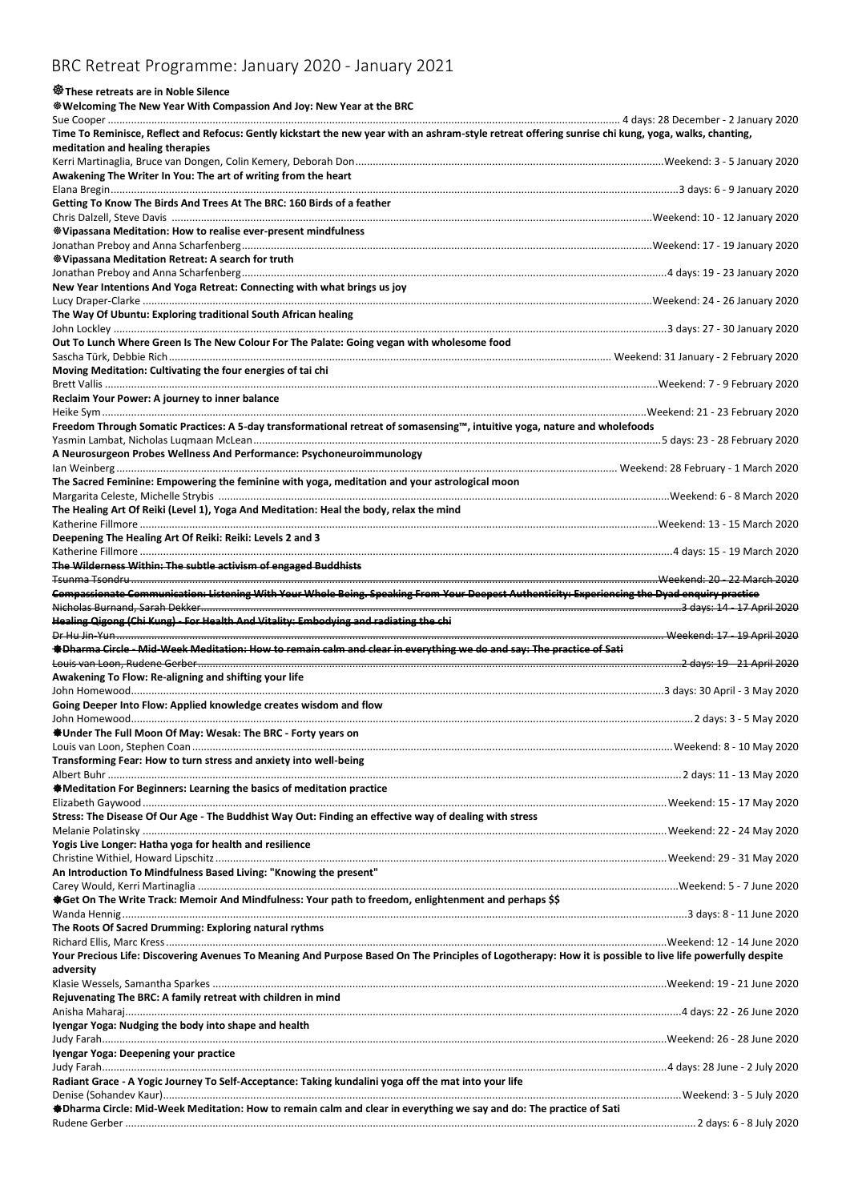## BRC Retreat Programme: January 2020 - January 2021

## **These retreats are in Noble Silence**

**Welcoming The New Year With Compassion And Joy: New Year at the BRC**

| Time To Reminisce, Reflect and Refocus: Gently kickstart the new year with an ashram-style retreat offering sunrise chi kung, yoga, walks, chanting,                   |                            |
|------------------------------------------------------------------------------------------------------------------------------------------------------------------------|----------------------------|
| meditation and healing therapies                                                                                                                                       |                            |
|                                                                                                                                                                        |                            |
| Awakening The Writer In You: The art of writing from the heart                                                                                                         |                            |
|                                                                                                                                                                        |                            |
| Getting To Know The Birds And Trees At The BRC: 160 Birds of a feather                                                                                                 |                            |
|                                                                                                                                                                        |                            |
| <b>Wipassana Meditation: How to realise ever-present mindfulness</b>                                                                                                   |                            |
|                                                                                                                                                                        |                            |
| <sup>※</sup> Vipassana Meditation Retreat: A search for truth                                                                                                          |                            |
|                                                                                                                                                                        |                            |
| New Year Intentions And Yoga Retreat: Connecting with what brings us joy                                                                                               |                            |
|                                                                                                                                                                        |                            |
| The Way Of Ubuntu: Exploring traditional South African healing                                                                                                         |                            |
|                                                                                                                                                                        |                            |
|                                                                                                                                                                        |                            |
| Out To Lunch Where Green Is The New Colour For The Palate: Going vegan with wholesome food                                                                             |                            |
|                                                                                                                                                                        |                            |
| Moving Meditation: Cultivating the four energies of tai chi                                                                                                            |                            |
|                                                                                                                                                                        |                            |
| Reclaim Your Power: A journey to inner balance                                                                                                                         |                            |
|                                                                                                                                                                        |                            |
| Freedom Through Somatic Practices: A 5-day transformational retreat of somasensing™, intuitive yoga, nature and wholefoods                                             |                            |
|                                                                                                                                                                        |                            |
| A Neurosurgeon Probes Wellness And Performance: Psychoneuroimmunology                                                                                                  |                            |
|                                                                                                                                                                        |                            |
| The Sacred Feminine: Empowering the feminine with yoga, meditation and your astrological moon                                                                          |                            |
|                                                                                                                                                                        |                            |
| The Healing Art Of Reiki (Level 1), Yoga And Meditation: Heal the body, relax the mind                                                                                 |                            |
|                                                                                                                                                                        |                            |
| Deepening The Healing Art Of Reiki: Reiki: Levels 2 and 3                                                                                                              |                            |
|                                                                                                                                                                        |                            |
| The Wilderness Within: The subtle activism of engaged Buddhists                                                                                                        |                            |
|                                                                                                                                                                        |                            |
|                                                                                                                                                                        |                            |
| Compassionate Communication: Listening With Your Whole Being. Speaking From Your Deepest Authenticity: Experiencing the Dyad enquiry practice                          |                            |
|                                                                                                                                                                        |                            |
| Healing Qigong (Chi Kung) - For Health And Vitality: Embodying and radiating the chi                                                                                   |                            |
|                                                                                                                                                                        |                            |
|                                                                                                                                                                        |                            |
| <b>#Dharma Circle - Mid-Week Meditation: How to remain calm and clear in everything we do and say: The practice of Sati</b>                                            |                            |
|                                                                                                                                                                        | 2 days: 19 - 21 April 2020 |
| Awakening To Flow: Re-aligning and shifting your life                                                                                                                  |                            |
|                                                                                                                                                                        |                            |
| Going Deeper Into Flow: Applied knowledge creates wisdom and flow                                                                                                      |                            |
|                                                                                                                                                                        |                            |
| ● Under The Full Moon Of May: Wesak: The BRC - Forty years on                                                                                                          |                            |
|                                                                                                                                                                        |                            |
|                                                                                                                                                                        |                            |
| Transforming Fear: How to turn stress and anxiety into well-being                                                                                                      |                            |
|                                                                                                                                                                        |                            |
| <b>Meditation For Beginners: Learning the basics of meditation practice</b>                                                                                            |                            |
|                                                                                                                                                                        |                            |
|                                                                                                                                                                        |                            |
|                                                                                                                                                                        |                            |
| Yogis Live Longer: Hatha yoga for health and resilience                                                                                                                |                            |
| Stress: The Disease Of Our Age - The Buddhist Way Out: Finding an effective way of dealing with stress                                                                 |                            |
| An Introduction To Mindfulness Based Living: "Knowing the present"                                                                                                     |                            |
|                                                                                                                                                                        |                            |
| *Get On The Write Track: Memoir And Mindfulness: Your path to freedom, enlightenment and perhaps \$\$                                                                  |                            |
|                                                                                                                                                                        |                            |
| The Roots Of Sacred Drumming: Exploring natural rythms                                                                                                                 |                            |
|                                                                                                                                                                        |                            |
|                                                                                                                                                                        |                            |
| Your Precious Life: Discovering Avenues To Meaning And Purpose Based On The Principles of Logotherapy: How it is possible to live life powerfully despite<br>adversity |                            |
|                                                                                                                                                                        |                            |
|                                                                                                                                                                        |                            |
| Rejuvenating The BRC: A family retreat with children in mind                                                                                                           |                            |
|                                                                                                                                                                        |                            |
| Iyengar Yoga: Nudging the body into shape and health                                                                                                                   |                            |
|                                                                                                                                                                        |                            |
| Iyengar Yoga: Deepening your practice                                                                                                                                  |                            |
|                                                                                                                                                                        |                            |
| Radiant Grace - A Yogic Journey To Self-Acceptance: Taking kundalini yoga off the mat into your life                                                                   |                            |
|                                                                                                                                                                        |                            |
| *Dharma Circle: Mid-Week Meditation: How to remain calm and clear in everything we say and do: The practice of Sati                                                    |                            |